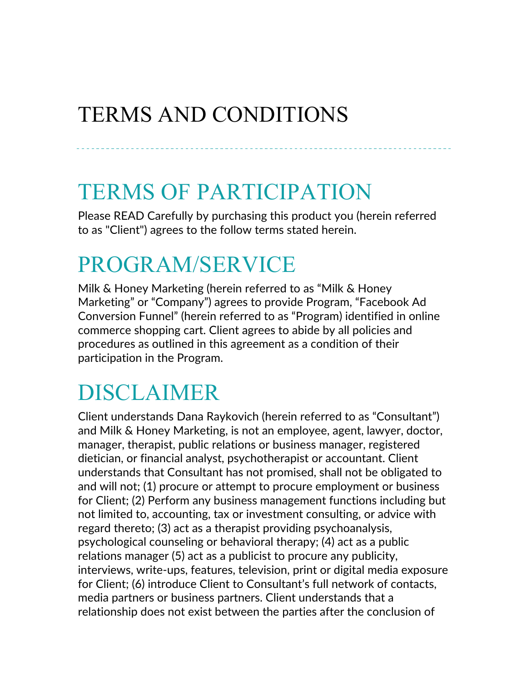#### TERMS AND CONDITIONS

#### TERMS OF PARTICIPATION

Please READ Carefully by purchasing this product you (herein referred to as "Client") agrees to the follow terms stated herein.

#### PROGRAM/SERVICE

Milk & Honey Marketing (herein referred to as "Milk & Honey Marketing" or "Company") agrees to provide Program, "Facebook Ad Conversion Funnel" (herein referred to as "Program) identified in online commerce shopping cart. Client agrees to abide by all policies and procedures as outlined in this agreement as a condition of their participation in the Program.

#### DISCLAIMER

Client understands Dana Raykovich (herein referred to as "Consultant") and Milk & Honey Marketing, is not an employee, agent, lawyer, doctor, manager, therapist, public relations or business manager, registered dietician, or financial analyst, psychotherapist or accountant. Client understands that Consultant has not promised, shall not be obligated to and will not; (1) procure or attempt to procure employment or business for Client; (2) Perform any business management functions including but not limited to, accounting, tax or investment consulting, or advice with regard thereto; (3) act as a therapist providing psychoanalysis, psychological counseling or behavioral therapy; (4) act as a public relations manager (5) act as a publicist to procure any publicity, interviews, write-ups, features, television, print or digital media exposure for Client; (6) introduce Client to Consultant's full network of contacts, media partners or business partners. Client understands that a relationship does not exist between the parties after the conclusion of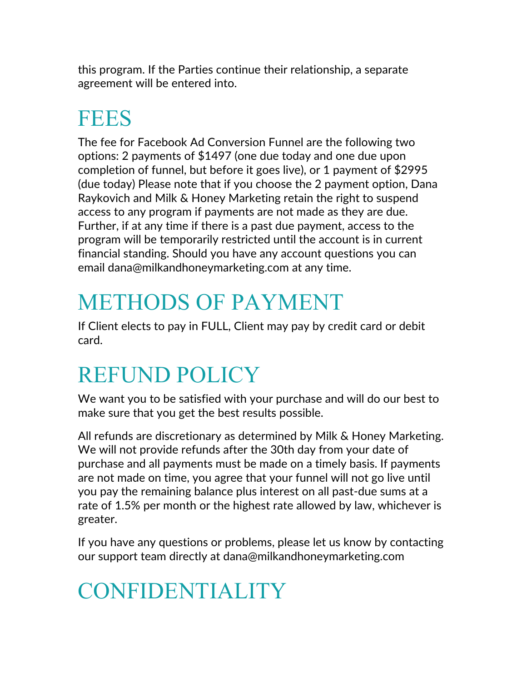this program. If the Parties continue their relationship, a separate agreement will be entered into.

# **FEES**

The fee for Facebook Ad Conversion Funnel are the following two options: 2 payments of \$1497 (one due today and one due upon completion of funnel, but before it goes live), or 1 payment of \$2995 (due today) Please note that if you choose the 2 payment option, Dana Raykovich and Milk & Honey Marketing retain the right to suspend access to any program if payments are not made as they are due. Further, if at any time if there is a past due payment, access to the program will be temporarily restricted until the account is in current financial standing. Should you have any account questions you can email dana@milkandhoneymarketing.com at any time.

# METHODS OF PAYMENT

If Client elects to pay in FULL, Client may pay by credit card or debit card.

#### REFUND POLICY

We want you to be satisfied with your purchase and will do our best to make sure that you get the best results possible.

All refunds are discretionary as determined by Milk & Honey Marketing. We will not provide refunds after the 30th day from your date of purchase and all payments must be made on a timely basis. If payments are not made on time, you agree that your funnel will not go live until you pay the remaining balance plus interest on all past-due sums at a rate of 1.5% per month or the highest rate allowed by law, whichever is greater.

If you have any questions or problems, please let us know by contacting our support team directly at dana@milkandhoneymarketing.com

# CONFIDENTIALITY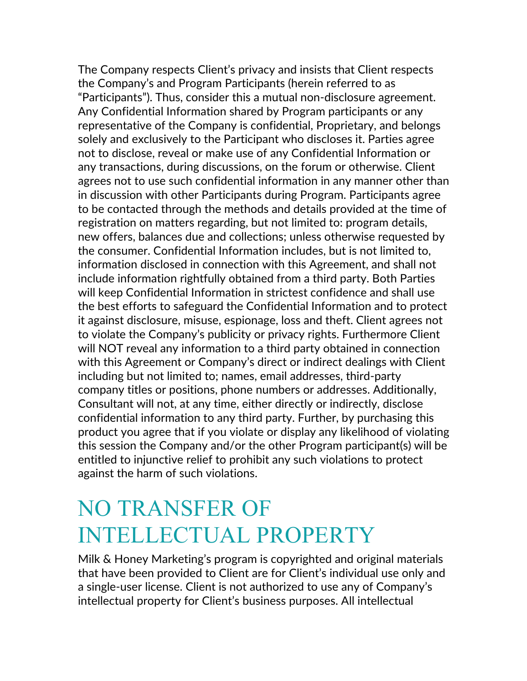The Company respects Client's privacy and insists that Client respects the Company's and Program Participants (herein referred to as "Participants"). Thus, consider this a mutual non-disclosure agreement. Any Confidential Information shared by Program participants or any representative of the Company is confidential, Proprietary, and belongs solely and exclusively to the Participant who discloses it. Parties agree not to disclose, reveal or make use of any Confidential Information or any transactions, during discussions, on the forum or otherwise. Client agrees not to use such confidential information in any manner other than in discussion with other Participants during Program. Participants agree to be contacted through the methods and details provided at the time of registration on matters regarding, but not limited to: program details, new offers, balances due and collections; unless otherwise requested by the consumer. Confidential Information includes, but is not limited to, information disclosed in connection with this Agreement, and shall not include information rightfully obtained from a third party. Both Parties will keep Confidential Information in strictest confidence and shall use the best efforts to safeguard the Confidential Information and to protect it against disclosure, misuse, espionage, loss and theft. Client agrees not to violate the Company's publicity or privacy rights. Furthermore Client will NOT reveal any information to a third party obtained in connection with this Agreement or Company's direct or indirect dealings with Client including but not limited to; names, email addresses, third-party company titles or positions, phone numbers or addresses. Additionally, Consultant will not, at any time, either directly or indirectly, disclose confidential information to any third party. Further, by purchasing this product you agree that if you violate or display any likelihood of violating this session the Company and/or the other Program participant(s) will be entitled to injunctive relief to prohibit any such violations to protect against the harm of such violations.

#### NO TRANSFER OF INTELLECTUAL PROPERTY

Milk & Honey Marketing's program is copyrighted and original materials that have been provided to Client are for Client's individual use only and a single-user license. Client is not authorized to use any of Company's intellectual property for Client's business purposes. All intellectual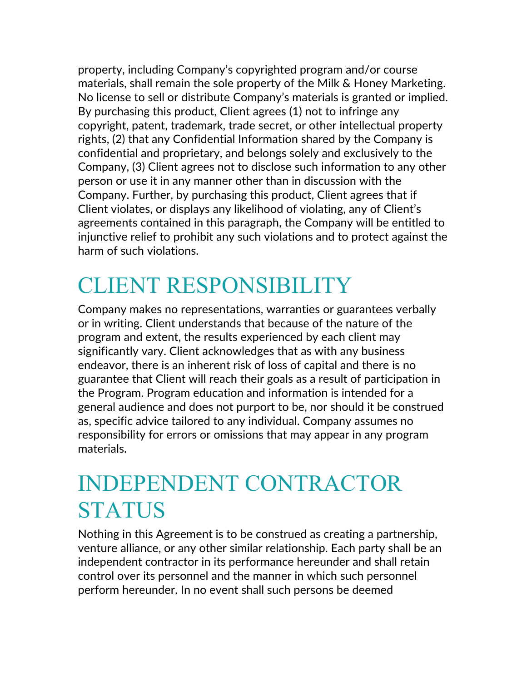property, including Company's copyrighted program and/or course materials, shall remain the sole property of the Milk & Honey Marketing. No license to sell or distribute Company's materials is granted or implied. By purchasing this product, Client agrees (1) not to infringe any copyright, patent, trademark, trade secret, or other intellectual property rights, (2) that any Confidential Information shared by the Company is confidential and proprietary, and belongs solely and exclusively to the Company, (3) Client agrees not to disclose such information to any other person or use it in any manner other than in discussion with the Company. Further, by purchasing this product, Client agrees that if Client violates, or displays any likelihood of violating, any of Client's agreements contained in this paragraph, the Company will be entitled to injunctive relief to prohibit any such violations and to protect against the harm of such violations.

## CLIENT RESPONSIBILITY

Company makes no representations, warranties or guarantees verbally or in writing. Client understands that because of the nature of the program and extent, the results experienced by each client may significantly vary. Client acknowledges that as with any business endeavor, there is an inherent risk of loss of capital and there is no guarantee that Client will reach their goals as a result of participation in the Program. Program education and information is intended for a general audience and does not purport to be, nor should it be construed as, specific advice tailored to any individual. Company assumes no responsibility for errors or omissions that may appear in any program materials.

#### INDEPENDENT CONTRACTOR **STATUS**

Nothing in this Agreement is to be construed as creating a partnership, venture alliance, or any other similar relationship. Each party shall be an independent contractor in its performance hereunder and shall retain control over its personnel and the manner in which such personnel perform hereunder. In no event shall such persons be deemed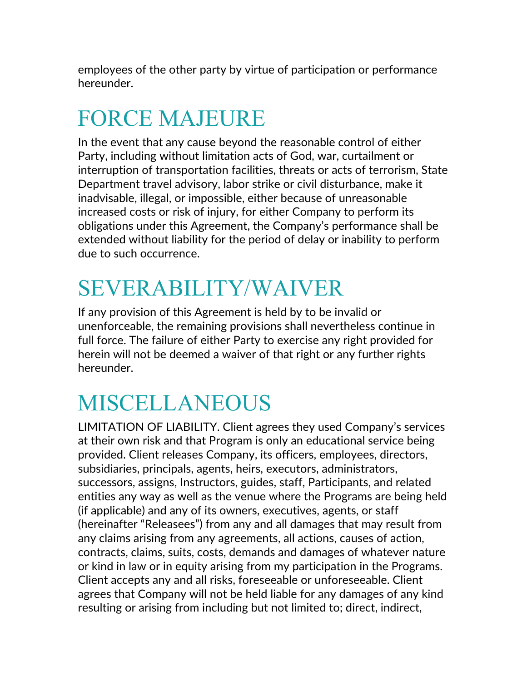employees of the other party by virtue of participation or performance hereunder.

## FORCE MAJEURE

In the event that any cause beyond the reasonable control of either Party, including without limitation acts of God, war, curtailment or interruption of transportation facilities, threats or acts of terrorism, State Department travel advisory, labor strike or civil disturbance, make it inadvisable, illegal, or impossible, either because of unreasonable increased costs or risk of injury, for either Company to perform its obligations under this Agreement, the Company's performance shall be extended without liability for the period of delay or inability to perform due to such occurrence.

#### SEVERABILITY/WAIVER

If any provision of this Agreement is held by to be invalid or unenforceable, the remaining provisions shall nevertheless continue in full force. The failure of either Party to exercise any right provided for herein will not be deemed a waiver of that right or any further rights hereunder.

#### MISCELLANEOUS

LIMITATION OF LIABILITY. Client agrees they used Company's services at their own risk and that Program is only an educational service being provided. Client releases Company, its officers, employees, directors, subsidiaries, principals, agents, heirs, executors, administrators, successors, assigns, Instructors, guides, staff, Participants, and related entities any way as well as the venue where the Programs are being held (if applicable) and any of its owners, executives, agents, or staff (hereinafter "Releasees") from any and all damages that may result from any claims arising from any agreements, all actions, causes of action, contracts, claims, suits, costs, demands and damages of whatever nature or kind in law or in equity arising from my participation in the Programs. Client accepts any and all risks, foreseeable or unforeseeable. Client agrees that Company will not be held liable for any damages of any kind resulting or arising from including but not limited to; direct, indirect,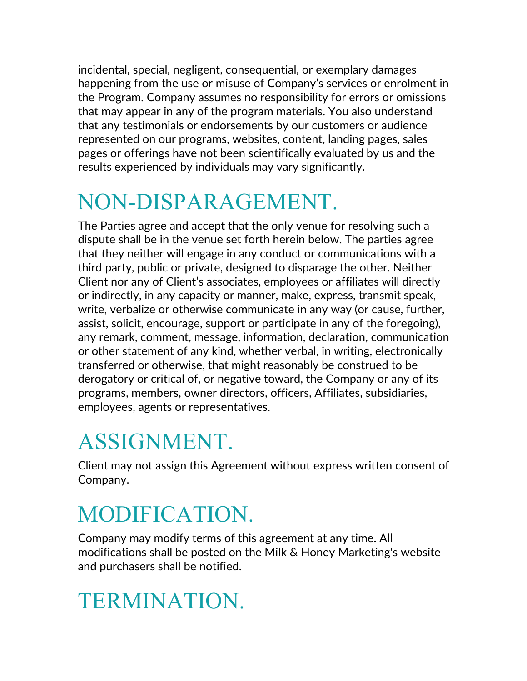incidental, special, negligent, consequential, or exemplary damages happening from the use or misuse of Company's services or enrolment in the Program. Company assumes no responsibility for errors or omissions that may appear in any of the program materials. You also understand that any testimonials or endorsements by our customers or audience represented on our programs, websites, content, landing pages, sales pages or offerings have not been scientifically evaluated by us and the results experienced by individuals may vary significantly.

# NON-DISPARAGEMENT.

The Parties agree and accept that the only venue for resolving such a dispute shall be in the venue set forth herein below. The parties agree that they neither will engage in any conduct or communications with a third party, public or private, designed to disparage the other. Neither Client nor any of Client's associates, employees or affiliates will directly or indirectly, in any capacity or manner, make, express, transmit speak, write, verbalize or otherwise communicate in any way (or cause, further, assist, solicit, encourage, support or participate in any of the foregoing), any remark, comment, message, information, declaration, communication or other statement of any kind, whether verbal, in writing, electronically transferred or otherwise, that might reasonably be construed to be derogatory or critical of, or negative toward, the Company or any of its programs, members, owner directors, officers, Affiliates, subsidiaries, employees, agents or representatives.

## ASSIGNMENT.

Client may not assign this Agreement without express written consent of Company.

## MODIFICATION.

Company may modify terms of this agreement at any time. All modifications shall be posted on the Milk & Honey Marketing's website and purchasers shall be notified.

## TERMINATION.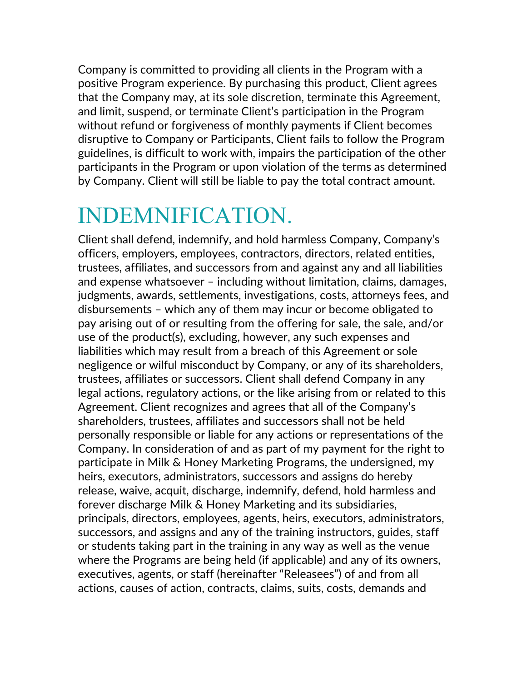Company is committed to providing all clients in the Program with a positive Program experience. By purchasing this product, Client agrees that the Company may, at its sole discretion, terminate this Agreement, and limit, suspend, or terminate Client's participation in the Program without refund or forgiveness of monthly payments if Client becomes disruptive to Company or Participants, Client fails to follow the Program guidelines, is difficult to work with, impairs the participation of the other participants in the Program or upon violation of the terms as determined by Company. Client will still be liable to pay the total contract amount.

#### INDEMNIFICATION.

Client shall defend, indemnify, and hold harmless Company, Company's officers, employers, employees, contractors, directors, related entities, trustees, affiliates, and successors from and against any and all liabilities and expense whatsoever – including without limitation, claims, damages, judgments, awards, settlements, investigations, costs, attorneys fees, and disbursements – which any of them may incur or become obligated to pay arising out of or resulting from the offering for sale, the sale, and/or use of the product(s), excluding, however, any such expenses and liabilities which may result from a breach of this Agreement or sole negligence or wilful misconduct by Company, or any of its shareholders, trustees, affiliates or successors. Client shall defend Company in any legal actions, regulatory actions, or the like arising from or related to this Agreement. Client recognizes and agrees that all of the Company's shareholders, trustees, affiliates and successors shall not be held personally responsible or liable for any actions or representations of the Company. In consideration of and as part of my payment for the right to participate in Milk & Honey Marketing Programs, the undersigned, my heirs, executors, administrators, successors and assigns do hereby release, waive, acquit, discharge, indemnify, defend, hold harmless and forever discharge Milk & Honey Marketing and its subsidiaries, principals, directors, employees, agents, heirs, executors, administrators, successors, and assigns and any of the training instructors, guides, staff or students taking part in the training in any way as well as the venue where the Programs are being held (if applicable) and any of its owners, executives, agents, or staff (hereinafter "Releasees") of and from all actions, causes of action, contracts, claims, suits, costs, demands and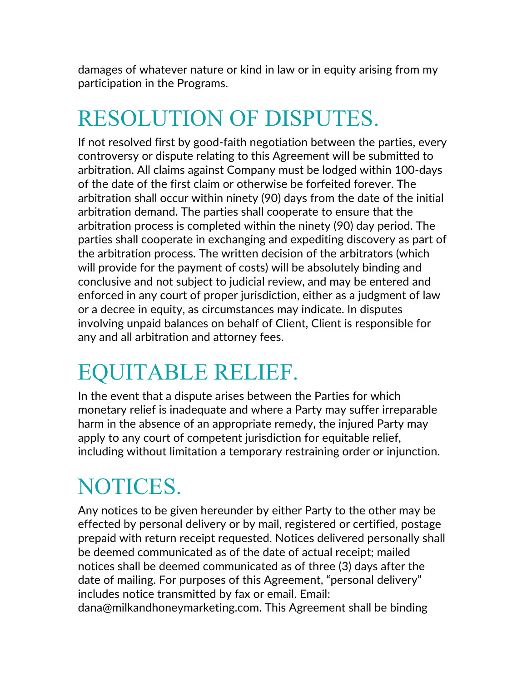damages of whatever nature or kind in law or in equity arising from my participation in the Programs.

## RESOLUTION OF DISPUTES.

If not resolved first by good-faith negotiation between the parties, every controversy or dispute relating to this Agreement will be submitted to arbitration. All claims against Company must be lodged within 100-days of the date of the first claim or otherwise be forfeited forever. The arbitration shall occur within ninety (90) days from the date of the initial arbitration demand. The parties shall cooperate to ensure that the arbitration process is completed within the ninety (90) day period. The parties shall cooperate in exchanging and expediting discovery as part of the arbitration process. The written decision of the arbitrators (which will provide for the payment of costs) will be absolutely binding and conclusive and not subject to judicial review, and may be entered and enforced in any court of proper jurisdiction, either as a judgment of law or a decree in equity, as circumstances may indicate. In disputes involving unpaid balances on behalf of Client, Client is responsible for any and all arbitration and attorney fees.

#### EQUITABLE RELIEF.

In the event that a dispute arises between the Parties for which monetary relief is inadequate and where a Party may suffer irreparable harm in the absence of an appropriate remedy, the injured Party may apply to any court of competent jurisdiction for equitable relief, including without limitation a temporary restraining order or injunction.

#### NOTICES.

Any notices to be given hereunder by either Party to the other may be effected by personal delivery or by mail, registered or certified, postage prepaid with return receipt requested. Notices delivered personally shall be deemed communicated as of the date of actual receipt; mailed notices shall be deemed communicated as of three (3) days after the date of mailing. For purposes of this Agreement, "personal delivery" includes notice transmitted by fax or email. Email: dana@milkandhoneymarketing.com. This Agreement shall be binding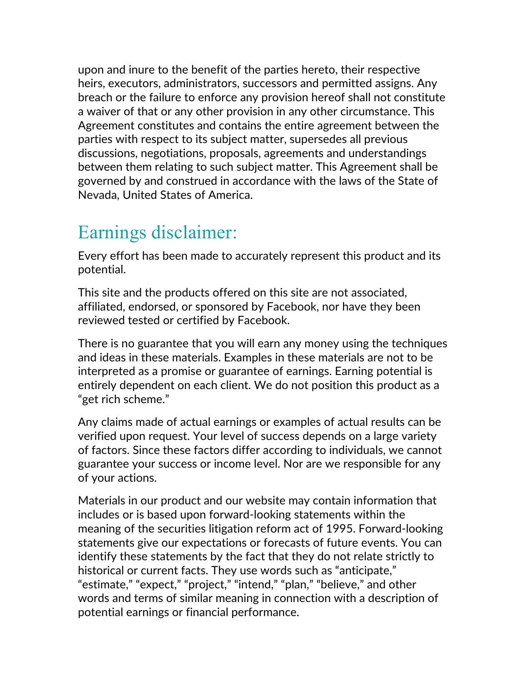upon and inure to the benefit of the parties hereto, their respective heirs, executors, administrators, successors and permitted assigns. Any breach or the failure to enforce any provision hereof shall not constitute a waiver of that or any other provision in any other circumstance. This Agreement constitutes and contains the entire agreement between the parties with respect to its subject matter, supersedes all previous discussions, negotiations, proposals, agreements and understandings between them relating to such subject matter. This Agreement shall be governed by and construed in accordance with the laws of the State of Nevada, United States of America.

#### Earnings disclaimer:

Every effort has been made to accurately represent this product and its potential.

This site and the products offered on this site are not associated, affiliated, endorsed, or sponsored by Facebook, nor have they been reviewed tested or certified by Facebook.

There is no guarantee that you will earn any money using the techniques and ideas in these materials. Examples in these materials are not to be interpreted as a promise or guarantee of earnings. Earning potential is entirely dependent on each client. We do not position this product as a "get rich scheme."

Any claims made of actual earnings or examples of actual results can be verified upon request. Your level of success depends on a large variety of factors. Since these factors differ according to individuals, we cannot guarantee your success or income level. Nor are we responsible for any of your actions.

Materials in our product and our website may contain information that includes or is based upon forward-looking statements within the meaning of the securities litigation reform act of 1995. Forward-looking statements give our expectations or forecasts of future events. You can identify these statements by the fact that they do not relate strictly to historical or current facts. They use words such as "anticipate," "estimate," "expect," "project," "intend," "plan," "believe," and other words and terms of similar meaning in connection with a description of potential earnings or financial performance.